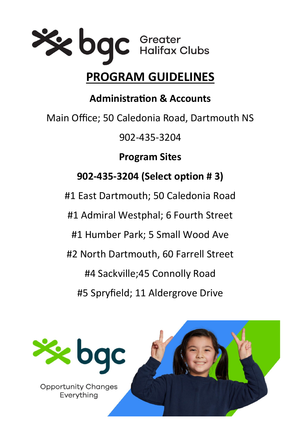

# **PROGRAM GUIDELINES**

**Administration & Accounts**

Main Office; 50 Caledonia Road, Dartmouth NS

902-435-3204

**Program Sites** 

# **902-435-3204 (Select option # 3)**

#1 East Dartmouth; 50 Caledonia Road

#1 Admiral Westphal; 6 Fourth Street

#1 Humber Park; 5 Small Wood Ave

#2 North Dartmouth, 60 Farrell Street

#4 Sackville;45 Connolly Road

#5 Spryfield; 11 Aldergrove Drive

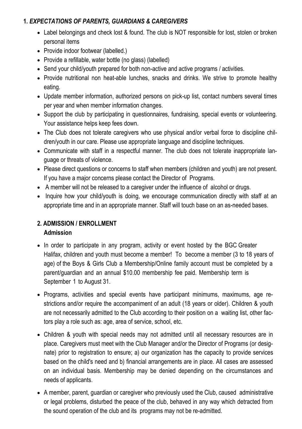# **1.** *EXPECTATIONS OF PARENTS, GUARDIANS & CAREGIVERS*

- Label belongings and check lost & found. The club is NOT responsible for lost, stolen or broken personal items
- Provide indoor footwear (labelled.)
- Provide a refillable, water bottle (no glass) (labelled)
- Send your child/youth prepared for both non-active and active programs / activities.
- Provide nutritional non heat-able lunches, snacks and drinks. We strive to promote healthy eating.
- Update member information, authorized persons on pick-up list, contact numbers several times per year and when member information changes.
- Support the club by participating in questionnaires, fundraising, special events or volunteering. Your assistance helps keep fees down.
- The Club does not tolerate caregivers who use physical and/or verbal force to discipline children/youth in our care. Please use appropriate language and discipline techniques.
- Communicate with staff in a respectful manner. The club does not tolerate inappropriate language or threats of violence.
- Please direct questions or concerns to staff when members (children and youth) are not present. If you have a major concerns please contact the Director of Programs.
- A member will not be released to a caregiver under the influence of alcohol or drugs.
- Inquire how your child/youth is doing, we encourage communication directly with staff at an appropriate time and in an appropriate manner. Staff will touch base on an as-needed bases.

#### **2. ADMISSION / ENROLLMENT Admission**

- In order to participate in any program, activity or event hosted by the BGC Greater Halifax, children and youth must become a member! To become a member (3 to 18 years of age) of the Boys & Girls Club a Membership/Online family account must be completed by a parent/guardian and an annual \$10.00 membership fee paid. Membership term is September 1 to August 31.
- Programs, activities and special events have participant minimums, maximums, age restrictions and/or require the accompaniment of an adult (18 years or older). Children & youth are not necessarily admitted to the Club according to their position on a waiting list, other factors play a role such as: age, area of service, school, etc.
- Children & youth with special needs may not admitted until all necessary resources are in place. Caregivers must meet with the Club Manager and/or the Director of Programs (or designate) prior to registration to ensure; a) our organization has the capacity to provide services based on the child's need and b) financial arrangements are in place. All cases are assessed on an individual basis. Membership may be denied depending on the circumstances and needs of applicants.
- A member, parent, guardian or caregiver who previously used the Club, caused administrative or legal problems, disturbed the peace of the club, behaved in any way which detracted from the sound operation of the club and its programs may not be re-admitted.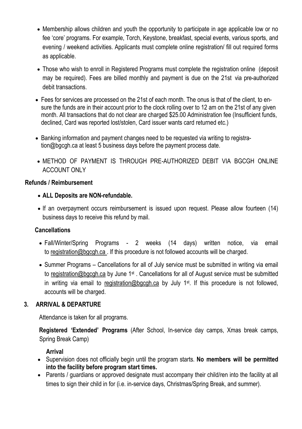- Membership allows children and youth the opportunity to participate in age applicable low or no fee 'core' programs. For example, Torch, Keystone, breakfast, special events, various sports, and evening / weekend activities. Applicants must complete online registration/ fill out required forms as applicable.
- Those who wish to enroll in Registered Programs must complete the registration online (deposit may be required). Fees are billed monthly and payment is due on the 21st via pre-authorized debit transactions.
- Fees for services are processed on the 21st of each month. The onus is that of the client, to ensure the funds are in their account prior to the clock rolling over to 12 am on the 21st of any given month. All transactions that do not clear are charged \$25.00 Administration fee (Insufficient funds, declined, Card was reported lost/stolen, Card issuer wants card returned etc.)
- Banking information and payment changes need to be requested via writing to registration@bgcgh.ca at least 5 business days before the payment process date.
- METHOD OF PAYMENT IS THROUGH PRE-AUTHORIZED DEBIT VIA BGCGH ONLINE ACCOUNT ONLY

### **Refunds / Reimbursement**

- **ALL Deposits are NON-refundable.**
- If an overpayment occurs reimbursement is issued upon request. Please allow fourteen (14) business days to receive this refund by mail.

# **Cancellations**

- Fall/Winter/Spring Programs 2 weeks (14 days) written notice, via email to registration@bgcgh.ca . If this procedure is not followed accounts will be charged.
- Summer Programs Cancellations for all of July service must be submitted in writing via email to registration@bgcgh.ca by June 1<sup>st</sup>. Cancellations for all of August service must be submitted in writing via email to registration@bgcgh.ca by July 1<sup>st</sup>. If this procedure is not followed, accounts will be charged.

# **3. ARRIVAL & DEPARTURE**

Attendance is taken for all programs.

**Registered 'Extended' Programs** (After School, In-service day camps, Xmas break camps, Spring Break Camp)

### **Arrival**

- Supervision does not officially begin until the program starts. **No members will be permitted into the facility before program start times.**
- Parents / guardians or approved designate must accompany their child/ren into the facility at all times to sign their child in for (i.e. in-service days, Christmas/Spring Break, and summer).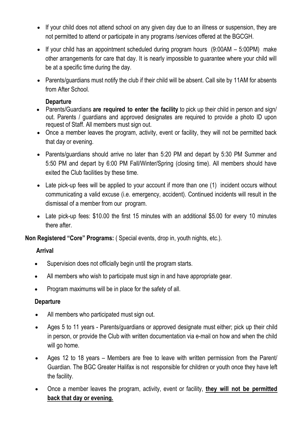- If your child does not attend school on any given day due to an illness or suspension, they are not permitted to attend or participate in any programs /services offered at the BGCGH.
- $\bullet$  If your child has an appointment scheduled during program hours  $(9:00AM 5:00PM)$  make other arrangements for care that day. It is nearly impossible to guarantee where your child will be at a specific time during the day.
- Parents/guardians must notify the club if their child will be absent. Call site by 11AM for absents from After School.

#### **Departure**

- Parents/Guardians **are required to enter the facility** to pick up their child in person and sign/ out. Parents / guardians and approved designates are required to provide a photo ID upon request of Staff. All members must sign out.
- Once a member leaves the program, activity, event or facility, they will not be permitted back that day or evening.
- Parents/guardians should arrive no later than 5:20 PM and depart by 5:30 PM Summer and 5:50 PM and depart by 6:00 PM Fall/Winter/Spring (closing time). All members should have exited the Club facilities by these time.
- Late pick-up fees will be applied to your account if more than one (1) incident occurs without communicating a valid excuse (i.e. emergency, accident). Continued incidents will result in the dismissal of a member from our program.
- Late pick-up fees: \$10.00 the first 15 minutes with an additional \$5.00 for every 10 minutes there after

**Non Registered "Core" Programs:** ( Special events, drop in, youth nights, etc.).

### **Arrival**

- Supervision does not officially begin until the program starts.
- All members who wish to participate must sign in and have appropriate gear.
- Program maximums will be in place for the safety of all.

### **Departure**

- All members who participated must sign out.
- Ages 5 to 11 years Parents/guardians or approved designate must either; pick up their child in person, or provide the Club with written documentation via e-mail on how and when the child will go home.
- Ages 12 to 18 years Members are free to leave with written permission from the Parent/ Guardian. The BGC Greater Halifax is not responsible for children or youth once they have left the facility.
- Once a member leaves the program, activity, event or facility, **they will not be permitted back that day or evening.**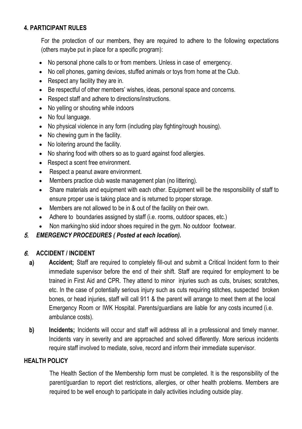## **4. PARTICIPANT RULES**

For the protection of our members, they are required to adhere to the following expectations (others maybe put in place for a specific program):

- No personal phone calls to or from members. Unless in case of emergency.
- No cell phones, gaming devices, stuffed animals or toys from home at the Club.
- Respect any facility they are in.
- Be respectful of other members' wishes, ideas, personal space and concerns.
- Respect staff and adhere to directions/instructions.
- No yelling or shouting while indoors
- No foul language.
- No physical violence in any form (including play fighting/rough housing).
- No chewing gum in the facility.
- No loitering around the facility.
- No sharing food with others so as to guard against food allergies.
- Respect a scent free environment.
- Respect a peanut aware environment.
- Members practice club waste management plan (no littering).
- Share materials and equipment with each other. Equipment will be the responsibility of staff to ensure proper use is taking place and is returned to proper storage.
- Members are not allowed to be in & out of the facility on their own.
- Adhere to boundaries assigned by staff (i.e. rooms, outdoor spaces, etc.)
- Non marking/no skid indoor shoes required in the gym. No outdoor footwear.

### 5. *EMERGENCY PROCEDURES ( Posted at each location).*

### 6. **ACCIDENT / INCIDENT**

- a) **Accident;** Staff are required to completely fill-out and submit a Critical Incident form to their immediate supervisor before the end of their shift. Staff are required for employment to be trained in First Aid and CPR. They attend to minor injuries such as cuts, bruises; scratches, etc. In the case of potentially serious injury such as cuts requiring stitches, suspected broken bones, or head injuries, staff will call 911 & the parent will arrange to meet them at the local Emergency Room or IWK Hospital. Parents/guardians are liable for any costs incurred (i.e. ambulance costs).
- b) **Incidents**; Incidents will occur and staff will address all in a professional and timely manner. Incidents vary in severity and are approached and solved differently. More serious incidents require staff involved to mediate, solve, record and inform their immediate supervisor.

#### **HEALTH POLICY**

The Health Section of the Membership form must be completed. It is the responsibility of the parent/guardian to report diet restrictions, allergies, or other health problems. Members are required to be well enough to participate in daily activities including outside play.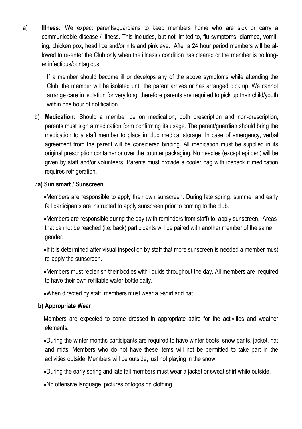a) **Illness:** We expect parents/guardians to keep members home who are sick or carry a communicable disease / illness. This includes, but not limited to, flu symptoms, diarrhea, vomiting, chicken pox, head lice and/or nits and pink eye. After a 24 hour period members will be allowed to re-enter the Club only when the illness / condition has cleared or the member is no longer infectious/contagious.

If a member should become ill or develops any of the above symptoms while attending the Club, the member will be isolated until the parent arrives or has arranged pick up. We cannot arrange care in isolation for very long, therefore parents are required to pick up their child/youth within one hour of notification

b) **Medication:** Should a member be on medication, both prescription and non-prescription, parents must sign a medication form confirming its usage. The parent/guardian should bring the medication to a staff member to place in club medical storage. In case of emergency, verbal agreement from the parent will be considered binding. All medication must be supplied in its original prescription container or over the counter packaging. No needles (except epi pen) will be given by staff and/or volunteers. Parents must provide a cooler bag with icepack if medication requires refrigeration.

#### 7**a) Sun smart / Sunscreen**

Members are responsible to apply their own sunscreen. During late spring, summer and early fall participants are instructed to apply sunscreen prior to coming to the club.

Members are responsible during the day (with reminders from staff) to apply sunscreen. Areas that cannot be reached (i.e. back) participants will be paired with another member of the same gender.

If it is determined after visual inspection by staff that more sunscreen is needed a member must re-apply the sunscreen.

Members must replenish their bodies with liquids throughout the day. All members are required to have their own refillable water bottle daily.

When directed by staff, members must wear a t-shirt and hat.

### **b) Appropriate Wear**

Members are expected to come dressed in appropriate attire for the activities and weather elements.

During the winter months participants are required to have winter boots, snow pants, jacket, hat and mitts. Members who do not have these items will not be permitted to take part in the activities outside. Members will be outside, just not playing in the snow.

During the early spring and late fall members must wear a jacket or sweat shirt while outside.

No offensive language, pictures or logos on clothing.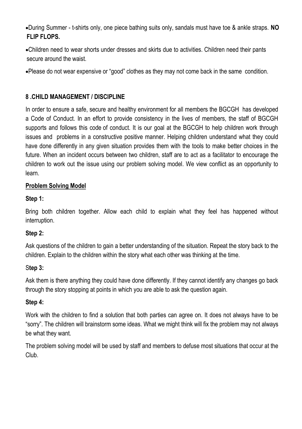•During Summer - t-shirts only, one piece bathing suits only, sandals must have toe & ankle straps. **NO FLIP FLOPS.**

•Children need to wear shorts under dresses and skirts due to activities. Children need their pants secure around the waist.

•Please do not wear expensive or "good" clothes as they may not come back in the same condition.

# **8 .CHILD MANAGEMENT / DISCIPLINE**

In order to ensure a safe, secure and healthy environment for all members the BGCGH has developed a Code of Conduct. In an effort to provide consistency in the lives of members, the staff of BGCGH supports and follows this code of conduct. It is our goal at the BGCGH to help children work through issues and problems in a constructive positive manner. Helping children understand what they could have done differently in any given situation provides them with the tools to make better choices in the future. When an incident occurs between two children, staff are to act as a facilitator to encourage the children to work out the issue using our problem solving model. We view conflict as an opportunity to learn.

# **Problem Solving Model**

# **Step 1:**

Bring both children together. Allow each child to explain what they feel has happened without interruption.

# **Step 2:**

Ask questions of the children to gain a better understanding of the situation. Repeat the story back to the children. Explain to the children within the story what each other was thinking at the time.

# S**tep 3:**

Ask them is there anything they could have done differently. If they cannot identify any changes go back through the story stopping at points in which you are able to ask the question again.

# **Step 4:**

Work with the children to find a solution that both parties can agree on. It does not always have to be "sorry". The children will brainstorm some ideas. What we might think will fix the problem may not always be what they want.

The problem solving model will be used by staff and members to defuse most situations that occur at the Club.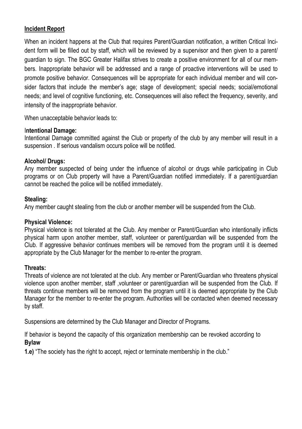## **Incident Report**

When an incident happens at the Club that requires Parent/Guardian notification, a written Critical Incident form will be filled out by staff, which will be reviewed by a supervisor and then given to a parent/ guardian to sign. The BGC Greater Halifax strives to create a positive environment for all of our members. Inappropriate behavior will be addressed and a range of proactive interventions will be used to promote positive behavior. Consequences will be appropriate for each individual member and will consider factors that include the member's age; stage of development; special needs; social/emotional needs; and level of cognitive functioning, etc. Consequences will also reflect the frequency, severity, and intensity of the inappropriate behavior.

When unacceptable behavior leads to:

#### I**ntentional Damage:**

Intentional Damage committed against the Club or property of the club by any member will result in a suspension . If serious vandalism occurs police will be notified.

#### **Alcohol/ Drugs:**

Any member suspected of being under the influence of alcohol or drugs while participating in Club programs or on Club property will have a Parent/Guardian notified immediately. If a parent/guardian cannot be reached the police will be notified immediately.

#### **Stealing:**

Any member caught stealing from the club or another member will be suspended from the Club.

### **Physical Violence:**

Physical violence is not tolerated at the Club. Any member or Parent/Guardian who intentionally inflicts physical harm upon another member, staff, volunteer or parent/guardian will be suspended from the Club. If aggressive behavior continues members will be removed from the program until it is deemed appropriate by the Club Manager for the member to re-enter the program.

### **Threats:**

Threats of violence are not tolerated at the club. Any member or Parent/Guardian who threatens physical violence upon another member, staff ,volunteer or parent/guardian will be suspended from the Club. If threats continue members will be removed from the program until it is deemed appropriate by the Club Manager for the member to re-enter the program. Authorities will be contacted when deemed necessary by staff.

Suspensions are determined by the Club Manager and Director of Programs.

If behavior is beyond the capacity of this organization membership can be revoked according to **Bylaw** 

**1.e)** "The society has the right to accept, reject or terminate membership in the club."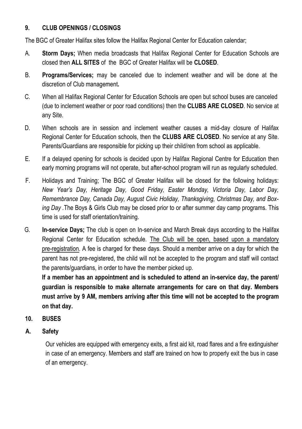# **9. CLUB OPENINGS / CLOSINGS**

The BGC of Greater Halifax sites follow the Halifax Regional Center for Education calendar;

- A. **Storm Days;** When media broadcasts that Halifax Regional Center for Education Schools are closed then **ALL SITES** of the BGC of Greater Halifax will be **CLOSED**.
- B. **Programs/Services;** may be canceled due to inclement weather and will be done at the discretion of Club management**.**
- C. When all Halifax Regional Center for Education Schools are open but school buses are canceled (due to inclement weather or poor road conditions) then the **CLUBS ARE CLOSED**. No service at any Site.
- D. When schools are in session and inclement weather causes a mid-day closure of Halifax Regional Center for Education schools, then the **CLUBS ARE CLOSED**. No service at any Site. Parents/Guardians are responsible for picking up their child/ren from school as applicable.
- E. If a delayed opening for schools is decided upon by Halifax Regional Centre for Education then early morning programs will not operate, but after-school program will run as regularly scheduled.
- F. Holidays and Training; The BGC of Greater Halifax will be closed for the following holidays: *New Year's Day, Heritage Day, Good Friday, Easter Monday, Victoria Day, Labor Day, Remembrance Day, Canada Day, August Civic Holiday, Thanksgiving, Christmas Day, and Boxing Day .*The Boys & Girls Club may be closed prior to or after summer day camp programs. This time is used for staff orientation/training.
- G. **In-service Days;** The club is open on In-service and March Break days according to the Halifax Regional Center for Education schedule. The Club will be open, based upon a mandatory pre-registration. A fee is charged for these days. Should a member arrive on a day for which the parent has not pre-registered, the child will not be accepted to the program and staff will contact the parents/guardians, in order to have the member picked up.

**If a member has an appointment and is scheduled to attend an in-service day, the parent/ guardian is responsible to make alternate arrangements for care on that day. Members must arrive by 9 AM, members arriving after this time will not be accepted to the program on that day.**

# **10. BUSES**

**A. Safety**

Our vehicles are equipped with emergency exits, a first aid kit, road flares and a fire extinguisher in case of an emergency. Members and staff are trained on how to properly exit the bus in case of an emergency.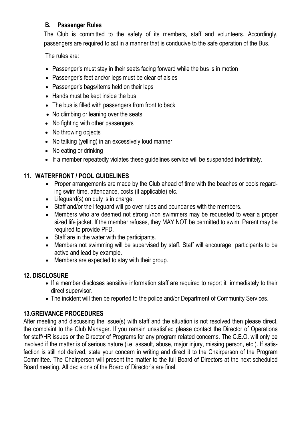## **B. Passenger Rules**

The Club is committed to the safety of its members, staff and volunteers. Accordingly, passengers are required to act in a manner that is conducive to the safe operation of the Bus.

The rules are:

- Passenger's must stay in their seats facing forward while the bus is in motion
- Passenger's feet and/or legs must be clear of aisles
- Passenger's bags/items held on their laps
- Hands must be kept inside the bus
- The bus is filled with passengers from front to back
- No climbing or leaning over the seats
- No fighting with other passengers
- No throwing objects
- No talking (yelling) in an excessively loud manner
- No eating or drinking
- If a member repeatedly violates these guidelines service will be suspended indefinitely.

# **11. WATERFRONT / POOL GUIDELINES**

- Proper arrangements are made by the Club ahead of time with the beaches or pools regarding swim time, attendance, costs (if applicable) etc.
- Lifeguard(s) on duty is in charge.
- Staff and/or the lifeguard will go over rules and boundaries with the members.
- Members who are deemed not strong /non swimmers may be requested to wear a proper sized life jacket. If the member refuses, they MAY NOT be permitted to swim. Parent may be required to provide PFD.
- Staff are in the water with the participants.
- Members not swimming will be supervised by staff. Staff will encourage participants to be active and lead by example.
- Members are expected to stay with their group.

# **12. DISCLOSURE**

- If a member discloses sensitive information staff are required to report it immediately to their direct supervisor.
- The incident will then be reported to the police and/or Department of Community Services.

# **13.GREIVANCE PROCEDURES**

After meeting and discussing the issue(s) with staff and the situation is not resolved then please direct, the complaint to the Club Manager. If you remain unsatisfied please contact the Director of Operations for staff/HR issues or the Director of Programs for any program related concerns. The C.E.O. will only be involved if the matter is of serious nature (i.e. assault, abuse, major injury, missing person, etc.). If satisfaction is still not derived, state your concern in writing and direct it to the Chairperson of the Program Committee. The Chairperson will present the matter to the full Board of Directors at the next scheduled Board meeting. All decisions of the Board of Director's are final.